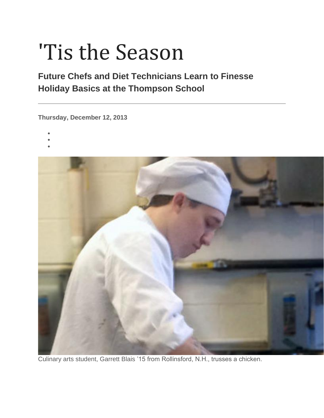# 'Tis the Season

## **Future Chefs and Diet Technicians Learn to Finesse Holiday Basics at the Thompson School**

**Thursday, December 12, 2013**

- •
- •
- •



Culinary arts student, Garrett Blais '15 from Rollinsford, N.H., trusses a chicken.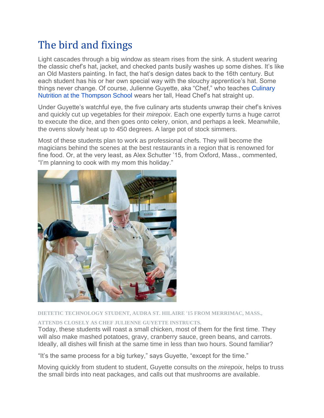# The bird and fixings

Light cascades through a big window as steam rises from the sink. A student wearing the classic chef's hat, jacket, and checked pants busily washes up some dishes. It's like an Old Masters painting. In fact, the hat's design dates back to the 16th century. But each student has his or her own special way with the slouchy apprentice's hat. Some things never change. Of course, Julienne Guyette, aka "Chef," who teaches [Culinary](http://unh.edu/unhtoday/recipes)  [Nutrition at the Thompson School](http://unh.edu/unhtoday/recipes) wears her tall, Head Chef's hat straight up.

Under Guyette's watchful eye, the five culinary arts students unwrap their chef's knives and quickly cut up vegetables for their *mirepoix*. Each one expertly turns a huge carrot to execute the dice, and then goes onto celery, onion, and perhaps a leek. Meanwhile, the ovens slowly heat up to 450 degrees. A large pot of stock simmers.

Most of these students plan to work as professional chefs. They will become the magicians behind the scenes at the best restaurants in a region that is renowned for fine food. Or, at the very least, as Alex Schutter '15, from Oxford, Mass., commented, "I'm planning to cook with my mom this holiday."



**DIETETIC TECHNOLOGY STUDENT, AUDRA ST. HILAIRE '15 FROM MERRIMAC, MASS.,** 

**ATTENDS CLOSELY AS CHEF JULIENNE GUYETTE INSTRUCTS.**

Today, these students will roast a small chicken, most of them for the first time. They will also make mashed potatoes, gravy, cranberry sauce, green beans, and carrots. Ideally, all dishes will finish at the same time in less than two hours. Sound familiar?

"It's the same process for a big turkey," says Guyette, "except for the time."

Moving quickly from student to student, Guyette consults on the *mirepoix*, helps to truss the small birds into neat packages, and calls out that mushrooms are available.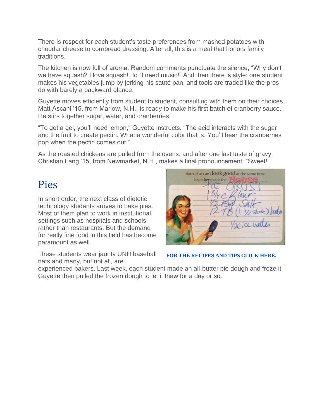There is respect for each student's taste preferences from mashed potatoes with cheddar cheese to cornbread dressing. After all, this is a meal that honors family traditions.

The kitchen is now full of aroma. Random comments punctuate the silence, "Why don't we have squash? I love squash!" to "I need music!" And then there is style: one student makes his vegetables jump by jerking his sauté pan, and tools are traded like the pros do with barely a backward glance.

Guyette moves efficiently from student to student, consulting with them on their choices. Matt Ascani '15, from Marlow, N.H., is ready to make his first batch of cranberry sauce. He stirs together sugar, water, and cranberries.

"To get a gel, you'll need lemon," Guyette instructs. "The acid interacts with the sugar and the fruit to create pectin. What a wonderful color that is. You'll hear the cranberries pop when the pectin comes out."

As the roasted chickens are pulled from the ovens, and after one last taste of gravy, Christian Lang '15, from Newmarket, N.H., makes a final pronouncement: "Sweet!"

## Pies

In short order, the next class of dietetic technology students arrives to bake pies. Most of them plan to work in institutional settings such as hospitals and schools rather than restaurants. But the demand for really fine food in this field has become paramount as well.

These students wear jaunty UNH baseball hats and many, but not all, are

| Both of us can't look good at the same time<br>It's either me or the |                               |
|----------------------------------------------------------------------|-------------------------------|
|                                                                      | 1 1/2 stick) adu<br>2 ce with |

#### **[FOR THE RECIPES AND TIPS CLICK HERE.](http://unh.edu/unhtoday/recipes)**

experienced bakers. Last week, each student made an all-butter pie dough and froze it. Guyette then pulled the frozen dough to let it thaw for a day or so.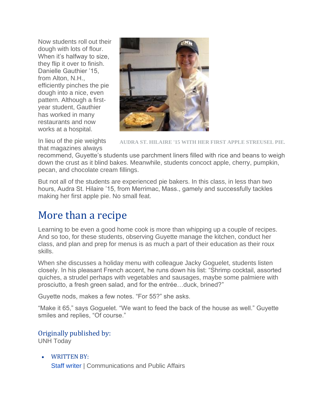Now students roll out their dough with lots of flour. When it's halfway to size. they flip it over to finish. Danielle Gauthier '15, from Alton, N.H., efficiently pinches the pie dough into a nice, even pattern. Although a firstyear student, Gauthier has worked in many restaurants and now works at a hospital.



In lieu of the pie weights that magazines always

**AUDRA ST. HILAIRE '15 WITH HER FIRST APPLE STREUSEL PIE.**

recommend, Guyette's students use parchment liners filled with rice and beans to weigh down the crust as it blind bakes. Meanwhile, students concoct apple, cherry, pumpkin, pecan, and chocolate cream fillings.

But not all of the students are experienced pie bakers. In this class, in less than two hours, Audra St. Hilaire '15, from Merrimac, Mass., gamely and successfully tackles making her first apple pie. No small feat.

# More than a recipe

Learning to be even a good home cook is more than whipping up a couple of recipes. And so too, for these students, observing Guyette manage the kitchen, conduct her class, and plan and prep for menus is as much a part of their education as their roux skills.

When she discusses a holiday menu with colleague Jacky Goguelet, students listen closely. In his pleasant French accent, he runs down his list: "Shrimp cocktail, assorted quiches, a strudel perhaps with vegetables and sausages, maybe some palmiere with prosciutto, a fresh green salad, and for the entrée…duck, brined?"

Guyette nods, makes a few notes. "For 55?" she asks.

"Make it 65," says Goguelet. "We want to feed the back of the house as well." Guyette smiles and replies, "Of course."

## Originally published by:

UNH Today

• WRITTEN BY: [Staff writer](https://www.unh.edu/unhtoday/contributor/staff-writer) | Communications and Public Affairs